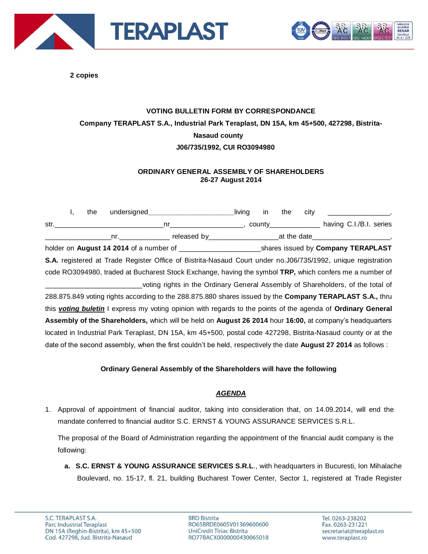



**2 copies**

## **VOTING BULLETIN FORM BY CORRESPONDANCE Company TERAPLAST S.A., Industrial Park Teraplast, DN 15A, km 45+500, 427298, Bistrita-Nasaud county J06/735/1992, CUI RO3094980**

## **ORDINARY GENERAL ASSEMBLY OF SHAREHOLDERS 26-27 August 2014**

I, the undersigned **in the city** living in the city str.\_\_\_\_\_\_\_\_\_\_\_\_\_\_\_\_\_\_\_\_\_\_\_\_\_\_\_\_nr\_\_\_\_\_\_\_\_\_\_\_\_\_\_\_\_\_\_\_, county\_\_\_\_\_\_\_\_\_\_\_\_\_ having C.I./B.I. series \_\_\_\_\_\_\_\_\_\_\_\_\_\_\_\_\_nr.\_\_\_\_\_\_\_\_\_\_\_\_\_ released by\_\_\_\_\_\_\_\_\_\_\_\_\_\_\_\_\_\_at the date\_\_\_\_\_\_\_\_\_\_\_\_\_\_\_\_\_\_\_\_, holder on **August 14 2014** of a number of \_\_\_\_\_\_\_\_\_\_\_\_\_\_\_\_\_\_\_\_\_shares issued by **Company TERAPLAST S.A.** registered at Trade Register Office of Bistrita-Nasaud Court under no.J06/735/1992, unique registration code RO3094980, traded at Bucharest Stock Exchange, having the symbol **TRP,** which confers me a number of \_\_\_\_\_\_\_\_\_\_\_\_\_\_\_\_\_\_\_\_\_\_\_\_\_voting rights in the Ordinary General Assembly of Shareholders, of the total of 288.875.849 voting rights according to the 288.875.880 shares issued by the **Company TERAPLAST S.A.,** thru this *voting buletin* I express my voting opinion with regards to the points of the agenda of **Ordinary General Assembly of the Shareholders,** which will be held on **August 26 2014** hour **16:00,** at company's headquarters located in Industrial Park Teraplast, DN 15A, km 45+500, postal code 427298, Bistrita-Nasaud county or at the date of the second assembly, when the first couldn't be held, respectively the date **August 27 2014** as follows :

## **Ordinary General Assembly of the Shareholders will have the following**

## *AGENDA*

1. Approval of appointment of financial auditor, taking into consideration that, on 14.09.2014, will end the mandate conferred to financial auditor S.C. ERNST & YOUNG ASSURANCE SERVICES S.R.L.

The proposal of the Board of Administration regarding the appointment of the financial audit company is the following:

**a. S.C. ERNST & YOUNG ASSURANCE SERVICES S.R.L**., with headquarters in Bucuresti, Ion Mihalache Boulevard, no. 15-17, fl. 21, building Bucharest Tower Center, Sector 1, registered at Trade Register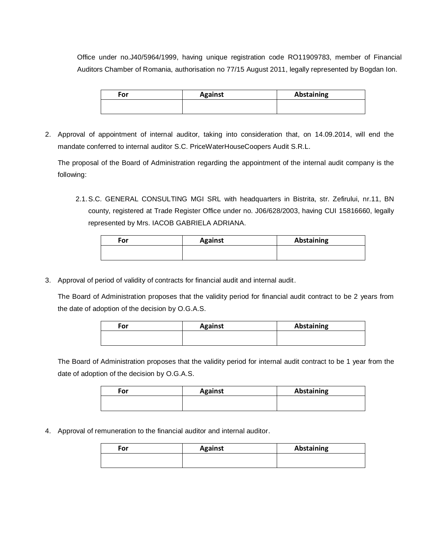Office under no.J40/5964/1999, having unique registration code RO11909783, member of Financial Auditors Chamber of Romania, authorisation no 77/15 August 2011, legally represented by Bogdan Ion.

| For | <b>Against</b> | <b>Abstaining</b> |
|-----|----------------|-------------------|
|     |                |                   |
|     |                |                   |

2. Approval of appointment of internal auditor, taking into consideration that, on 14.09.2014, will end the mandate conferred to internal auditor S.C. PriceWaterHouseCoopers Audit S.R.L.

The proposal of the Board of Administration regarding the appointment of the internal audit company is the following:

2.1.S.C. GENERAL CONSULTING MGI SRL with headquarters in Bistrita, str. Zefirului, nr.11, BN county, registered at Trade Register Office under no. J06/628/2003, having CUI 15816660, legally represented by Mrs. IACOB GABRIELA ADRIANA.

| For | <b>Against</b> | <b>Abstaining</b> |
|-----|----------------|-------------------|
|     |                |                   |

3. Approval of period of validity of contracts for financial audit and internal audit.

The Board of Administration proposes that the validity period for financial audit contract to be 2 years from the date of adoption of the decision by O.G.A.S.

| For | <b>Against</b> | <b>Abstaining</b> |
|-----|----------------|-------------------|
|     |                |                   |

The Board of Administration proposes that the validity period for internal audit contract to be 1 year from the date of adoption of the decision by O.G.A.S.

| For | <b>Against</b> | <b>Abstaining</b> |
|-----|----------------|-------------------|
|     |                |                   |

4. Approval of remuneration to the financial auditor and internal auditor.

| For | <b>Against</b> | Abstaining |
|-----|----------------|------------|
|     |                |            |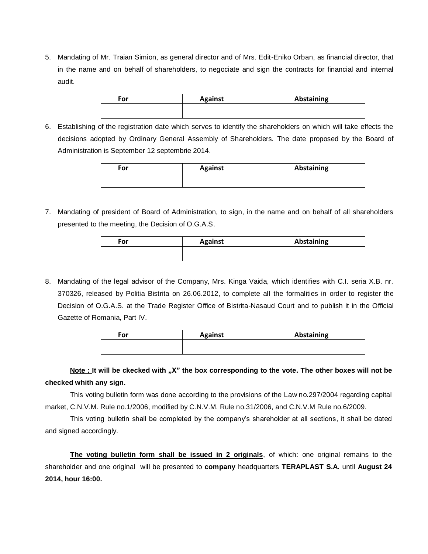5. Mandating of Mr. Traian Simion, as general director and of Mrs. Edit-Eniko Orban, as financial director, that in the name and on behalf of shareholders, to negociate and sign the contracts for financial and internal audit.

| For | <b>Against</b> | <b>Abstaining</b> |
|-----|----------------|-------------------|
|     |                |                   |

6. Establishing of the registration date which serves to identify the shareholders on which will take effects the decisions adopted by Ordinary General Assembly of Shareholders. The date proposed by the Board of Administration is September 12 septembrie 2014.

| <b>Against</b> | <b>Abstaining</b> |
|----------------|-------------------|
|                |                   |
|                |                   |

7. Mandating of president of Board of Administration, to sign, in the name and on behalf of all shareholders presented to the meeting, the Decision of O.G.A.S.

| For | <b>Against</b> | <b>Abstaining</b> |
|-----|----------------|-------------------|
|     |                |                   |

8. Mandating of the legal advisor of the Company, Mrs. Kinga Vaida, which identifies with C.I. seria X.B. nr. 370326, released by Politia Bistrita on 26.06.2012, to complete all the formalities in order to register the Decision of O.G.A.S. at the Trade Register Office of Bistrita-Nasaud Court and to publish it in the Official Gazette of Romania, Part IV.

| For | <b>Against</b> | <b>Abstaining</b> |
|-----|----------------|-------------------|
|     |                |                   |
|     |                |                   |

Note : It will be ckecked with "X" the box corresponding to the vote. The other boxes will not be **checked whith any sign.** 

This voting bulletin form was done according to the provisions of the Law no.297/2004 regarding capital market, C.N.V.M. Rule no.1/2006, modified by C.N.V.M. Rule no.31/2006, and C.N.V.M Rule no.6/2009.

This voting bulletin shall be completed by the company's shareholder at all sections, it shall be dated and signed accordingly.

**The voting bulletin form shall be issued in 2 originals**, of which: one original remains to the shareholder and one original will be presented to **company** headquarters **TERAPLAST S.A.** until **August 24 2014, hour 16:00.**